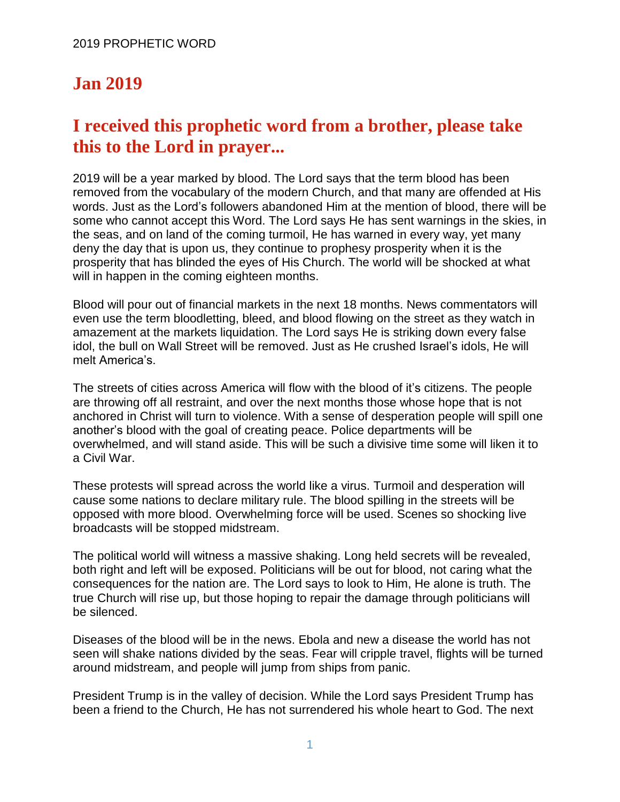## **Jan 2019**

## **I received this prophetic word from a brother, please take this to the Lord in prayer...**

2019 will be a year marked by blood. The Lord says that the term blood has been removed from the vocabulary of the modern Church, and that many are offended at His words. Just as the Lord's followers abandoned Him at the mention of blood, there will be some who cannot accept this Word. The Lord says He has sent warnings in the skies, in the seas, and on land of the coming turmoil, He has warned in every way, yet many deny the day that is upon us, they continue to prophesy prosperity when it is the prosperity that has blinded the eyes of His Church. The world will be shocked at what will in happen in the coming eighteen months.

Blood will pour out of financial markets in the next 18 months. News commentators will even use the term bloodletting, bleed, and blood flowing on the street as they watch in amazement at the markets liquidation. The Lord says He is striking down every false idol, the bull on Wall Street will be removed. Just as He crushed Israel's idols, He will melt America's.

The streets of cities across America will flow with the blood of it's citizens. The people are throwing off all restraint, and over the next months those whose hope that is not anchored in Christ will turn to violence. With a sense of desperation people will spill one another's blood with the goal of creating peace. Police departments will be overwhelmed, and will stand aside. This will be such a divisive time some will liken it to a Civil War.

These protests will spread across the world like a virus. Turmoil and desperation will cause some nations to declare military rule. The blood spilling in the streets will be opposed with more blood. Overwhelming force will be used. Scenes so shocking live broadcasts will be stopped midstream.

The political world will witness a massive shaking. Long held secrets will be revealed, both right and left will be exposed. Politicians will be out for blood, not caring what the consequences for the nation are. The Lord says to look to Him, He alone is truth. The true Church will rise up, but those hoping to repair the damage through politicians will be silenced.

Diseases of the blood will be in the news. Ebola and new a disease the world has not seen will shake nations divided by the seas. Fear will cripple travel, flights will be turned around midstream, and people will jump from ships from panic.

President Trump is in the valley of decision. While the Lord says President Trump has been a friend to the Church, He has not surrendered his whole heart to God. The next